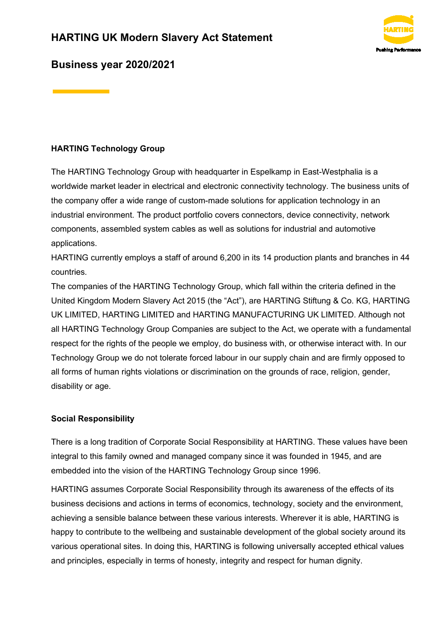

# **Business year 2020/2021**

### **HARTING Technology Group**

The HARTING Technology Group with headquarter in Espelkamp in East-Westphalia is a worldwide market leader in electrical and electronic connectivity technology. The business units of the company offer a wide range of custom-made solutions for application technology in an industrial environment. The product portfolio covers connectors, device connectivity, network components, assembled system cables as well as solutions for industrial and automotive applications.

HARTING currently employs a staff of around 6,200 in its 14 production plants and branches in 44 countries.

The companies of the HARTING Technology Group, which fall within the criteria defined in the United Kingdom Modern Slavery Act 2015 (the "Act"), are HARTING Stiftung & Co. KG, HARTING UK LIMITED, HARTING LIMITED and HARTING MANUFACTURING UK LIMITED. Although not all HARTING Technology Group Companies are subject to the Act, we operate with a fundamental respect for the rights of the people we employ, do business with, or otherwise interact with. In our Technology Group we do not tolerate forced labour in our supply chain and are firmly opposed to all forms of human rights violations or discrimination on the grounds of race, religion, gender, disability or age.

### **Social Responsibility**

There is a long tradition of Corporate Social Responsibility at HARTING. These values have been integral to this family owned and managed company since it was founded in 1945, and are embedded into the vision of the HARTING Technology Group since 1996.

HARTING assumes Corporate Social Responsibility through its awareness of the effects of its business decisions and actions in terms of economics, technology, society and the environment, achieving a sensible balance between these various interests. Wherever it is able, HARTING is happy to contribute to the wellbeing and sustainable development of the global society around its various operational sites. In doing this, HARTING is following universally accepted ethical values and principles, especially in terms of honesty, integrity and respect for human dignity.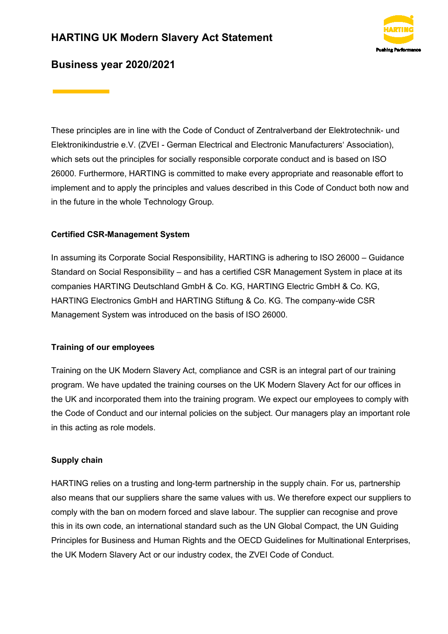# **HARTING UK Modern Slavery Act Statement**



### **Business year 2020/2021**

These principles are in line with the Code of Conduct of Zentralverband der Elektrotechnik- und Elektronikindustrie e.V. (ZVEI - German Electrical and Electronic Manufacturers' Association), which sets out the principles for socially responsible corporate conduct and is based on ISO 26000. Furthermore, HARTING is committed to make every appropriate and reasonable effort to implement and to apply the principles and values described in this Code of Conduct both now and in the future in the whole Technology Group.

#### **Certified CSR-Management System**

In assuming its Corporate Social Responsibility, HARTING is adhering to ISO 26000 – Guidance Standard on Social Responsibility – and has a certified CSR Management System in place at its companies HARTING Deutschland GmbH & Co. KG, HARTING Electric GmbH & Co. KG, HARTING Electronics GmbH and HARTING Stiftung & Co. KG. The company-wide CSR Management System was introduced on the basis of ISO 26000.

#### **Training of our employees**

Training on the UK Modern Slavery Act, compliance and CSR is an integral part of our training program. We have updated the training courses on the UK Modern Slavery Act for our offices in the UK and incorporated them into the training program. We expect our employees to comply with the Code of Conduct and our internal policies on the subject. Our managers play an important role in this acting as role models.

#### **Supply chain**

HARTING relies on a trusting and long-term partnership in the supply chain. For us, partnership also means that our suppliers share the same values with us. We therefore expect our suppliers to comply with the ban on modern forced and slave labour. The supplier can recognise and prove this in its own code, an international standard such as the UN Global Compact, the UN Guiding Principles for Business and Human Rights and the OECD Guidelines for Multinational Enterprises, the UK Modern Slavery Act or our industry codex, the ZVEI Code of Conduct.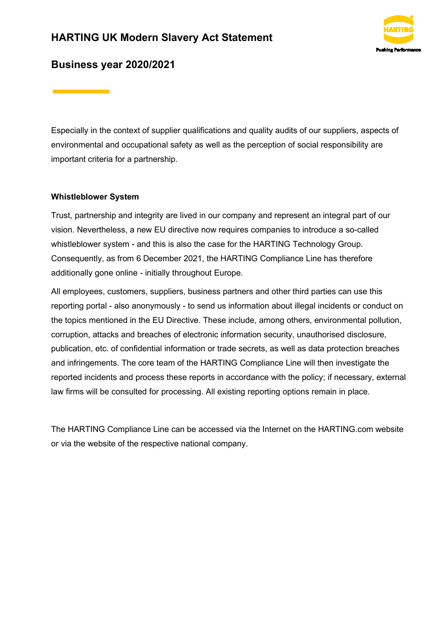# **HARTING UK Modern Slavery Act Statement**



### **Business year 2020/2021**

Especially in the context of supplier qualifications and quality audits of our suppliers, aspects of environmental and occupational safety as well as the perception of social responsibility are important criteria for a partnership.

#### **Whistleblower System**

Trust, partnership and integrity are lived in our company and represent an integral part of our vision. Nevertheless, a new EU directive now requires companies to introduce a so-called whistleblower system - and this is also the case for the HARTING Technology Group. Consequently, as from 6 December 2021, the HARTING Compliance Line has therefore additionally gone online - initially throughout Europe.

All employees, customers, suppliers, business partners and other third parties can use this reporting portal - also anonymously - to send us information about illegal incidents or conduct on the topics mentioned in the EU Directive. These include, among others, environmental pollution, corruption, attacks and breaches of electronic information security, unauthorised disclosure, publication, etc. of confidential information or trade secrets, as well as data protection breaches and infringements. The core team of the HARTING Compliance Line will then investigate the reported incidents and process these reports in accordance with the policy; if necessary, external law firms will be consulted for processing. All existing reporting options remain in place.

The HARTING Compliance Line can be accessed via the Internet on the HARTING.com website or via the website of the respective national company.